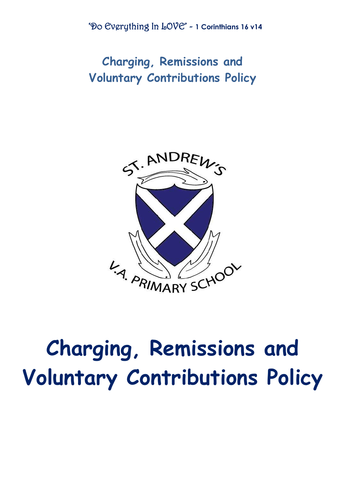'Do Everything In LOVE' - **1 Corinthians 16 v14**

**Charging, Remissions and Voluntary Contributions Policy**



# **Charging, Remissions and Voluntary Contributions Policy**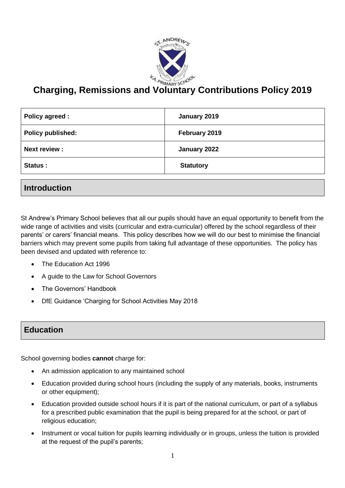

# **Charging, Remissions and Voluntary Contributions Policy 2019**

| Policy agreed :          | January 2019     |
|--------------------------|------------------|
| <b>Policy published:</b> | February 2019    |
| <b>Next review:</b>      | January 2022     |
| Status :                 | <b>Statutory</b> |

#### **Introduction**

St Andrew's Primary School believes that all our pupils should have an equal opportunity to benefit from the wide range of activities and visits (curricular and extra-curricular) offered by the school regardless of their parents' or carers' financial means. This policy describes how we will do our best to minimise the financial barriers which may prevent some pupils from taking full advantage of these opportunities. The policy has been devised and updated with reference to:

- The Education Act 1996
- A guide to the Law for School Governors
- The Governors' Handbook
- DfE Guidance 'Charging for School Activities May 2018

#### **Education**

School governing bodies **cannot** charge for:

- An admission application to any maintained school
- Education provided during school hours (including the supply of any materials, books, instruments or other equipment);
- Education provided outside school hours if it is part of the national curriculum, or part of a syllabus for a prescribed public examination that the pupil is being prepared for at the school, or part of religious education;
- Instrument or vocal tuition for pupils learning individually or in groups, unless the tuition is provided at the request of the pupil's parents;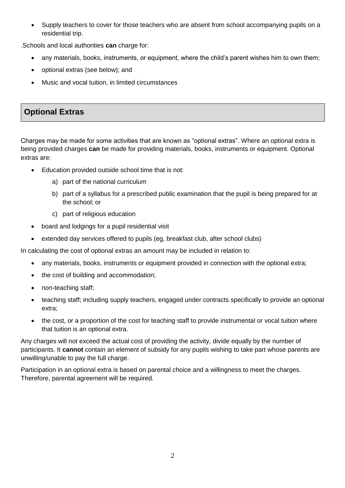Supply teachers to cover for those teachers who are absent from school accompanying pupils on a residential trip.

.Schools and local authorities **can** charge for:

- any materials, books, instruments, or equipment, where the child's parent wishes him to own them;
- optional extras (see below); and
- Music and vocal tuition, in limited circumstances

### **Optional Extras**

Charges may be made for some activities that are known as "optional extras". Where an optional extra is being provided charges **can** be made for providing materials, books, instruments or equipment. Optional extras are:

- Education provided outside school time that is not:
	- a) part of the national curriculum
	- b) part of a syllabus for a prescribed public examination that the pupil is being prepared for at the school; or
	- c) part of religious education
- board and lodgings for a pupil residential visit
- extended day services offered to pupils (eg, breakfast club, after school clubs)

In calculating the cost of optional extras an amount may be included in relation to:

- any materials, books, instruments or equipment provided in connection with the optional extra;
- the cost of building and accommodation;
- non-teaching staff;
- teaching staff; including supply teachers, engaged under contracts specifically to provide an optional extra;
- the cost, or a proportion of the cost for teaching staff to provide instrumental or vocal tuition where that tuition is an optional extra.

Any charges will not exceed the actual cost of providing the activity, divide equally by the number of participants. It **cannot** contain an element of subsidy for any pupils wishing to take part whose parents are unwilling/unable to pay the full charge.

Participation in an optional extra is based on parental choice and a willingness to meet the charges. Therefore, parental agreement will be required.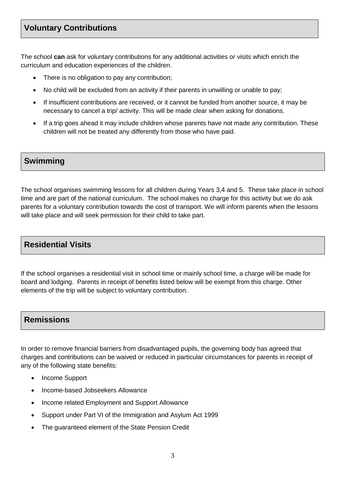## **Voluntary Contributions**

The school **can** ask for voluntary contributions for any additional activities or visits which enrich the curriculum and education experiences of the children.

- There is no obligation to pay any contribution;
- No child will be excluded from an activity if their parents in unwilling or unable to pay;
- If insufficient contributions are received, or it cannot be funded from another source, it may be necessary to cancel a trip/ activity. This will be made clear when asking for donations.
- If a trip goes ahead it may include children whose parents have not made any contribution. These children will not be treated any differently from those who have paid.

#### **Swimming**

The school organises swimming lessons for all children during Years 3,4 and 5. These take place in school time and are part of the national curriculum. The school makes no charge for this activity but we do ask parents for a voluntary contribution towards the cost of transport. We will inform parents when the lessons will take place and will seek permission for their child to take part.

#### **Residential Visits**

If the school organises a residential visit in school time or mainly school time, a charge will be made for board and lodging. Parents in receipt of benefits listed below will be exempt from this charge. Other elements of the trip will be subject to voluntary contribution.

#### **Remissions**

In order to remove financial barriers from disadvantaged pupils, the governing body has agreed that charges and contributions can be waived or reduced in particular circumstances for parents in receipt of any of the following state benefits:

- Income Support
- Income-based Jobseekers Allowance
- Income related Employment and Support Allowance
- Support under Part VI of the Immigration and Asylum Act 1999
- The guaranteed element of the State Pension Credit